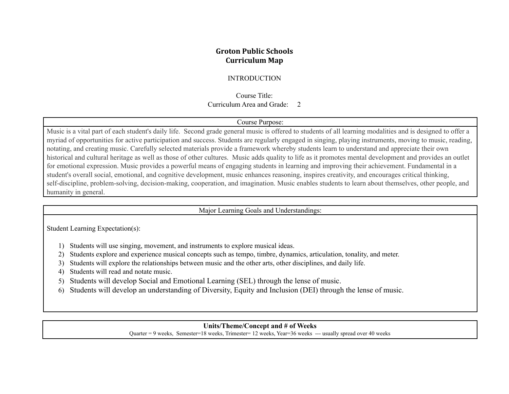## **Groton Public Schools Curriculum Map**

### INTRODUCTION

Course Title: Curriculum Area and Grade: 2

#### Course Purpose:

Music is a vital part of each student's daily life. Second grade general music is offered to students of all learning modalities and is designed to offer a myriad of opportunities for active participation and success. Students are regularly engaged in singing, playing instruments, moving to music, reading, notating, and creating music. Carefully selected materials provide a framework whereby students learn to understand and appreciate their own historical and cultural heritage as well as those of other cultures. Music adds quality to life as it promotes mental development and provides an outlet for emotional expression. Music provides a powerful means of engaging students in learning and improving their achievement. Fundamental in a student's overall social, emotional, and cognitive development, music enhances reasoning, inspires creativity, and encourages critical thinking, self-discipline, problem-solving, decision-making, cooperation, and imagination. Music enables students to learn about themselves, other people, and humanity in general.

#### Major Learning Goals and Understandings:

Student Learning Expectation(s):

- 1) Students will use singing, movement, and instruments to explore musical ideas.
- 2) Students explore and experience musical concepts such as tempo, timbre, dynamics, articulation, tonality, and meter.
- 3) Students will explore the relationships between music and the other arts, other disciplines, and daily life.
- 4) Students will read and notate music.
- 5) Students will develop Social and Emotional Learning (SEL) through the lense of music.
- 6) Students will develop an understanding of Diversity, Equity and Inclusion (DEI) through the lense of music.

### **Units/Theme/Concept and # of Weeks**

Quarter = 9 weeks, Semester=18 weeks, Trimester= 12 weeks, Year=36 weeks --- usually spread over 40 weeks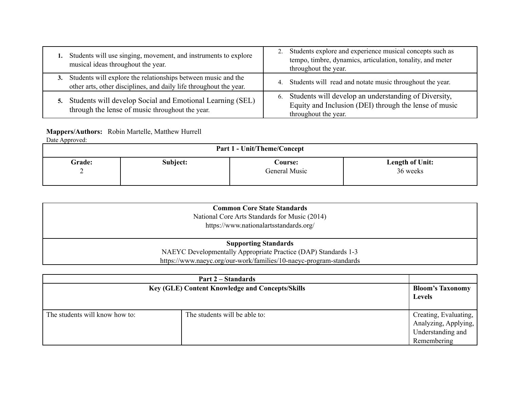| Students will use singing, movement, and instruments to explore<br>musical ideas throughout the year.                                     | Students explore and experience musical concepts such as<br>tempo, timbre, dynamics, articulation, tonality, and meter<br>throughout the year. |
|-------------------------------------------------------------------------------------------------------------------------------------------|------------------------------------------------------------------------------------------------------------------------------------------------|
| Students will explore the relationships between music and the<br>3.<br>other arts, other disciplines, and daily life throughout the year. | 4. Students will read and notate music throughout the year.                                                                                    |
| Students will develop Social and Emotional Learning (SEL)<br>5.<br>through the lense of music throughout the year.                        | Students will develop an understanding of Diversity,<br>6.<br>Equity and Inclusion (DEI) through the lense of music<br>throughout the year.    |

# **Mappers/Authors:** Robin Martelle, Matthew Hurrell

Date Approved:

| <b>Part 1 - Unit/Theme/Concept</b> |          |                |                        |  |
|------------------------------------|----------|----------------|------------------------|--|
| Grade:                             | Subject: | <b>Course:</b> | <b>Length of Unit:</b> |  |
| ∼                                  |          | General Music  | 36 weeks               |  |

| <b>Common Core State Standards</b><br>National Core Arts Standards for Music (2014)<br>https://www.nationalartsstandards.org/ |  |
|-------------------------------------------------------------------------------------------------------------------------------|--|
| <b>Supporting Standards</b>                                                                                                   |  |
| NAEYC Developmentally Appropriate Practice (DAP) Standards 1-3                                                                |  |
| https://www.naeyc.org/our-work/families/10-naeyc-program-standards                                                            |  |

| <b>Key (GLE) Content Knowledge and Concepts/Skills</b> |                               | <b>Bloom's Taxonomy</b><br><b>Levels</b>                                          |
|--------------------------------------------------------|-------------------------------|-----------------------------------------------------------------------------------|
| The students will know how to:                         | The students will be able to: | Creating, Evaluating,<br>Analyzing, Applying,<br>Understanding and<br>Remembering |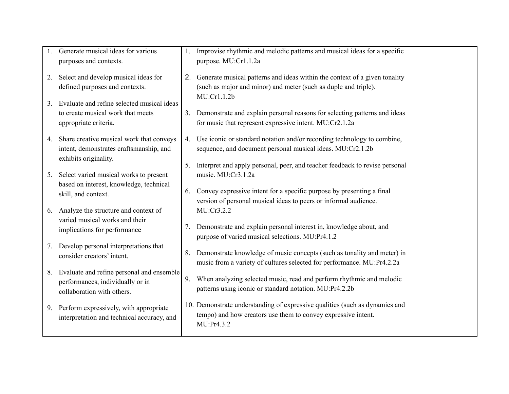|    | Generate musical ideas for various<br>purposes and contexts.                                                 |             | Improvise rhythmic and melodic patterns and musical ideas for a specific<br>purpose. MU:Cr1.1.2a                                                                |  |
|----|--------------------------------------------------------------------------------------------------------------|-------------|-----------------------------------------------------------------------------------------------------------------------------------------------------------------|--|
| 2. | Select and develop musical ideas for<br>defined purposes and contexts.                                       |             | 2. Generate musical patterns and ideas within the context of a given tonality<br>(such as major and minor) and meter (such as duple and triple).<br>MU:Cr1.1.2b |  |
| 3. | Evaluate and refine selected musical ideas<br>to create musical work that meets<br>appropriate criteria.     |             | 3. Demonstrate and explain personal reasons for selecting patterns and ideas<br>for music that represent expressive intent. MU:Cr2.1.2a                         |  |
| 4. | Share creative musical work that conveys<br>intent, demonstrates craftsmanship, and<br>exhibits originality. | $4_{\cdot}$ | Use iconic or standard notation and/or recording technology to combine,<br>sequence, and document personal musical ideas. MU:Cr2.1.2b                           |  |
| 5. | Select varied musical works to present<br>based on interest, knowledge, technical                            | 5.          | Interpret and apply personal, peer, and teacher feedback to revise personal<br>music. MU:Cr3.1.2a                                                               |  |
|    | skill, and context.                                                                                          | 6.          | Convey expressive intent for a specific purpose by presenting a final<br>version of personal musical ideas to peers or informal audience.                       |  |
|    | 6. Analyze the structure and context of<br>varied musical works and their<br>implications for performance    | 7.          | MU:Cr3.2.2<br>Demonstrate and explain personal interest in, knowledge about, and<br>purpose of varied musical selections. MU:Pr4.1.2                            |  |
| 7. | Develop personal interpretations that<br>consider creators' intent.                                          | 8.          | Demonstrate knowledge of music concepts (such as tonality and meter) in<br>music from a variety of cultures selected for performance. MU:Pr4.2.2a               |  |
| 8. | Evaluate and refine personal and ensemble<br>performances, individually or in<br>collaboration with others.  |             | 9. When analyzing selected music, read and perform rhythmic and melodic<br>patterns using iconic or standard notation. MU:Pr4.2.2b                              |  |
|    | 9. Perform expressively, with appropriate<br>interpretation and technical accuracy, and                      |             | 10. Demonstrate understanding of expressive qualities (such as dynamics and<br>tempo) and how creators use them to convey expressive intent.<br>MU:Pr4.3.2      |  |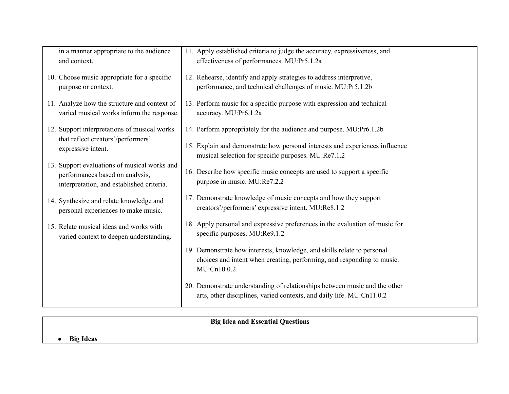| in a manner appropriate to the audience<br>and context.                                                                      | 11. Apply established criteria to judge the accuracy, expressiveness, and<br>effectiveness of performances. MU:Pr5.1.2a                                          |  |
|------------------------------------------------------------------------------------------------------------------------------|------------------------------------------------------------------------------------------------------------------------------------------------------------------|--|
| 10. Choose music appropriate for a specific<br>purpose or context.                                                           | 12. Rehearse, identify and apply strategies to address interpretive,<br>performance, and technical challenges of music. MU:Pr5.1.2b                              |  |
| 11. Analyze how the structure and context of<br>varied musical works inform the response.                                    | 13. Perform music for a specific purpose with expression and technical<br>accuracy. MU:Pr6.1.2a                                                                  |  |
| 12. Support interpretations of musical works                                                                                 | 14. Perform appropriately for the audience and purpose. MU:Pr6.1.2b                                                                                              |  |
| that reflect creators'/performers'<br>expressive intent.                                                                     | 15. Explain and demonstrate how personal interests and experiences influence<br>musical selection for specific purposes. MU:Re7.1.2                              |  |
| 13. Support evaluations of musical works and<br>performances based on analysis,<br>interpretation, and established criteria. | 16. Describe how specific music concepts are used to support a specific<br>purpose in music. MU:Re7.2.2                                                          |  |
| 14. Synthesize and relate knowledge and<br>personal experiences to make music.                                               | 17. Demonstrate knowledge of music concepts and how they support<br>creators'/performers' expressive intent. MU:Re8.1.2                                          |  |
| 15. Relate musical ideas and works with<br>varied context to deepen understanding.                                           | 18. Apply personal and expressive preferences in the evaluation of music for<br>specific purposes. MU:Re9.1.2                                                    |  |
|                                                                                                                              | 19. Demonstrate how interests, knowledge, and skills relate to personal<br>choices and intent when creating, performing, and responding to music.<br>MU:Cn10.0.2 |  |
|                                                                                                                              | 20. Demonstrate understanding of relationships between music and the other<br>arts, other disciplines, varied contexts, and daily life. MU:Cn11.0.2              |  |

# **Big Idea and Essential Questions**

# **● Big Ideas**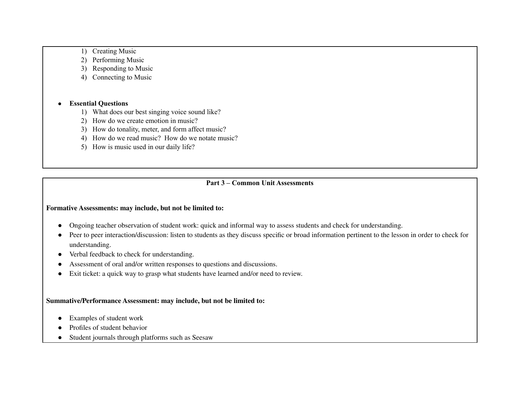- 1) Creating Music
- 2) Performing Music
- 3) Responding to Music
- 4) Connecting to Music

### **● Essential Questions**

- 1) What does our best singing voice sound like?
- 2) How do we create emotion in music?
- 3) How do tonality, meter, and form affect music?
- 4) How do we read music? How do we notate music?
- 5) How is music used in our daily life?

### **Part 3 – Common Unit Assessments**

### **Formative Assessments: may include, but not be limited to:**

- Ongoing teacher observation of student work: quick and informal way to assess students and check for understanding.
- Peer to peer interaction/discussion: listen to students as they discuss specific or broad information pertinent to the lesson in order to check for understanding.
- Verbal feedback to check for understanding.
- Assessment of oral and/or written responses to questions and discussions.
- Exit ticket: a quick way to grasp what students have learned and/or need to review.

### **Summative/Performance Assessment: may include, but not be limited to:**

- Examples of student work
- Profiles of student behavior
- Student journals through platforms such as Seesaw